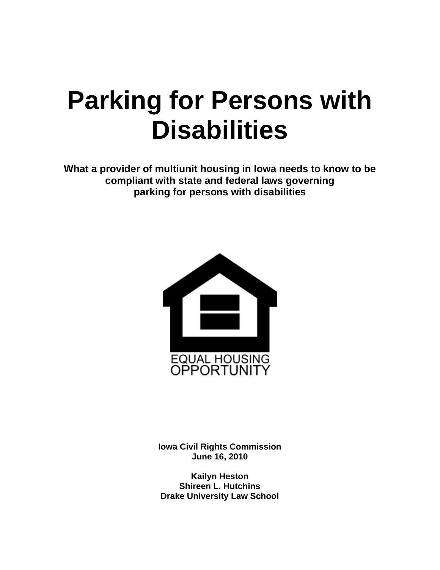## **Parking for Persons with Disabilities**

**What a provider of multiunit housing in Iowa needs to know to be compliant with state and federal laws governing parking for persons with disabilities**



**Iowa Civil Rights Commission June 16, 2010**

**Kailyn Heston Shireen L. Hutchins Drake University Law School**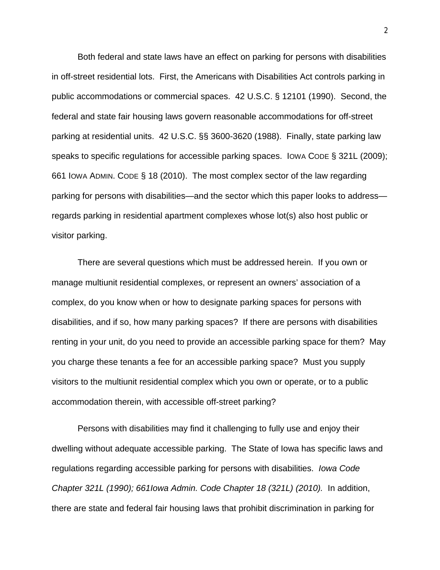Both federal and state laws have an effect on parking for persons with disabilities in off-street residential lots. First, the Americans with Disabilities Act controls parking in public accommodations or commercial spaces. 42 U.S.C. § 12101 (1990). Second, the federal and state fair housing laws govern reasonable accommodations for off-street parking at residential units. 42 U.S.C. §§ 3600-3620 (1988). Finally, state parking law speaks to specific regulations for accessible parking spaces. IOWA CODE § 321L (2009); 661 IOWA ADMIN. CODE § 18 (2010). The most complex sector of the law regarding parking for persons with disabilities—and the sector which this paper looks to address regards parking in residential apartment complexes whose lot(s) also host public or visitor parking.

There are several questions which must be addressed herein. If you own or manage multiunit residential complexes, or represent an owners' association of a complex, do you know when or how to designate parking spaces for persons with disabilities, and if so, how many parking spaces? If there are persons with disabilities renting in your unit, do you need to provide an accessible parking space for them? May you charge these tenants a fee for an accessible parking space? Must you supply visitors to the multiunit residential complex which you own or operate, or to a public accommodation therein, with accessible off-street parking?

Persons with disabilities may find it challenging to fully use and enjoy their dwelling without adequate accessible parking. The State of Iowa has specific laws and regulations regarding accessible parking for persons with disabilities. *Iowa Code Chapter 321L (1990); 661Iowa Admin. Code Chapter 18 (321L) (2010).* In addition, there are state and federal fair housing laws that prohibit discrimination in parking for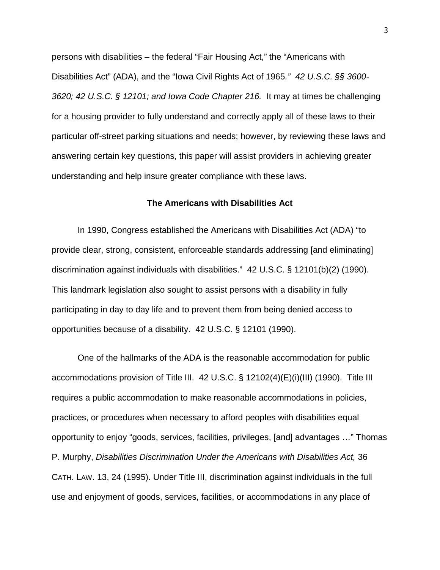persons with disabilities – the federal "Fair Housing Act," the "Americans with Disabilities Act" (ADA), and the "Iowa Civil Rights Act of 1965*." 42 U.S.C. §§ 3600- 3620; 42 U.S.C. § 12101; and Iowa Code Chapter 216.* It may at times be challenging for a housing provider to fully understand and correctly apply all of these laws to their particular off-street parking situations and needs; however, by reviewing these laws and answering certain key questions, this paper will assist providers in achieving greater understanding and help insure greater compliance with these laws.

## **The Americans with Disabilities Act**

In 1990, Congress established the Americans with Disabilities Act (ADA) "to provide clear, strong, consistent, enforceable standards addressing [and eliminating] discrimination against individuals with disabilities." 42 U.S.C. § 12101(b)(2) (1990). This landmark legislation also sought to assist persons with a disability in fully participating in day to day life and to prevent them from being denied access to opportunities because of a disability. 42 U.S.C. § 12101 (1990).

One of the hallmarks of the ADA is the reasonable accommodation for public accommodations provision of Title III. 42 U.S.C. § 12102(4)(E)(i)(III) (1990). Title III requires a public accommodation to make reasonable accommodations in policies, practices, or procedures when necessary to afford peoples with disabilities equal opportunity to enjoy "goods, services, facilities, privileges, [and] advantages …" Thomas P. Murphy, *Disabilities Discrimination Under the Americans with Disabilities Act,* 36 CATH. LAW. 13, 24 (1995). Under Title III, discrimination against individuals in the full use and enjoyment of goods, services, facilities, or accommodations in any place of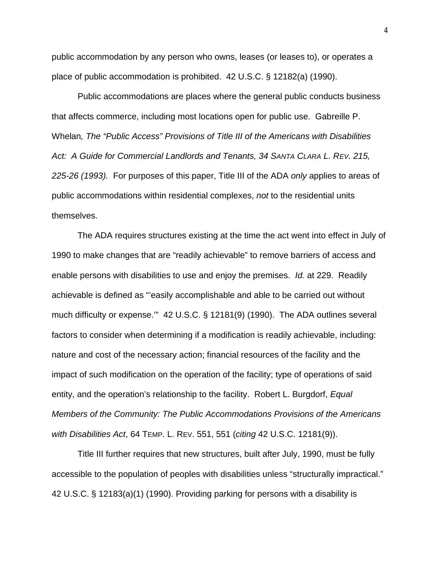public accommodation by any person who owns, leases (or leases to), or operates a place of public accommodation is prohibited. 42 U.S.C. § 12182(a) (1990).

Public accommodations are places where the general public conducts business that affects commerce, including most locations open for public use. Gabreille P. Whelan*, The "Public Access" Provisions of Title III of the Americans with Disabilities Act: A Guide for Commercial Landlords and Tenants, 34 SANTA CLARA L. REV. 215, 225-26 (1993).* For purposes of this paper, Title III of the ADA *only* applies to areas of public accommodations within residential complexes, *not* to the residential units themselves.

The ADA requires structures existing at the time the act went into effect in July of 1990 to make changes that are "readily achievable" to remove barriers of access and enable persons with disabilities to use and enjoy the premises. *Id.* at 229. Readily achievable is defined as "'easily accomplishable and able to be carried out without much difficulty or expense.'" 42 U.S.C. § 12181(9) (1990). The ADA outlines several factors to consider when determining if a modification is readily achievable, including: nature and cost of the necessary action; financial resources of the facility and the impact of such modification on the operation of the facility; type of operations of said entity, and the operation's relationship to the facility. Robert L. Burgdorf, *Equal Members of the Community: The Public Accommodations Provisions of the Americans with Disabilities Act*, 64 TEMP. L. REV. 551, 551 (*citing* 42 U.S.C. 12181(9)).

Title III further requires that new structures, built after July, 1990, must be fully accessible to the population of peoples with disabilities unless "structurally impractical." 42 U.S.C. § 12183(a)(1) (1990). Providing parking for persons with a disability is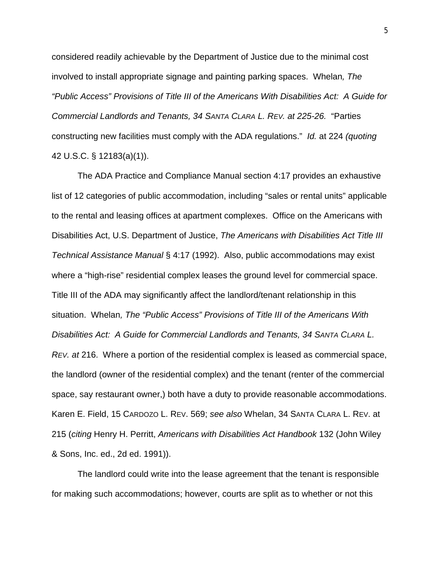considered readily achievable by the Department of Justice due to the minimal cost involved to install appropriate signage and painting parking spaces. Whelan*, The "Public Access" Provisions of Title III of the Americans With Disabilities Act: A Guide for Commercial Landlords and Tenants, 34 SANTA CLARA L. REV. at 225-26.* "Parties constructing new facilities must comply with the ADA regulations." *Id.* at 224 *(quoting*  42 U.S.C. § 12183(a)(1)).

The ADA Practice and Compliance Manual section 4:17 provides an exhaustive list of 12 categories of public accommodation, including "sales or rental units" applicable to the rental and leasing offices at apartment complexes. Office on the Americans with Disabilities Act, U.S. Department of Justice, *The Americans with Disabilities Act Title III Technical Assistance Manual* § 4:17 (1992). Also, public accommodations may exist where a "high-rise" residential complex leases the ground level for commercial space. Title III of the ADA may significantly affect the landlord/tenant relationship in this situation. Whelan*, The "Public Access" Provisions of Title III of the Americans With Disabilities Act: A Guide for Commercial Landlords and Tenants, 34 SANTA CLARA L. REV. at* 216. Where a portion of the residential complex is leased as commercial space, the landlord (owner of the residential complex) and the tenant (renter of the commercial space, say restaurant owner,) both have a duty to provide reasonable accommodations. Karen E. Field, 15 CARDOZO L. REV. 569; *see also* Whelan, 34 SANTA CLARA L. REV. at 215 (*citing* Henry H. Perritt, *Americans with Disabilities Act Handbook* 132 (John Wiley & Sons, Inc. ed., 2d ed. 1991)).

The landlord could write into the lease agreement that the tenant is responsible for making such accommodations; however, courts are split as to whether or not this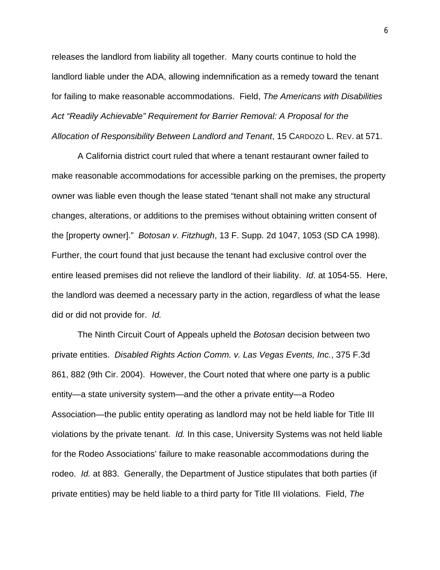releases the landlord from liability all together. Many courts continue to hold the landlord liable under the ADA, allowing indemnification as a remedy toward the tenant for failing to make reasonable accommodations. Field, *The Americans with Disabilities Act "Readily Achievable" Requirement for Barrier Removal: A Proposal for the Allocation of Responsibility Between Landlord and Tenant*, 15 CARDOZO L. REV. at 571.

A California district court ruled that where a tenant restaurant owner failed to make reasonable accommodations for accessible parking on the premises, the property owner was liable even though the lease stated "tenant shall not make any structural changes, alterations, or additions to the premises without obtaining written consent of the [property owner]." *Botosan v. Fitzhugh*, 13 F. Supp. 2d 1047, 1053 (SD CA 1998). Further, the court found that just because the tenant had exclusive control over the entire leased premises did not relieve the landlord of their liability. *Id*. at 1054-55. Here, the landlord was deemed a necessary party in the action, regardless of what the lease did or did not provide for. *Id.*

The Ninth Circuit Court of Appeals upheld the *Botosan* decision between two private entities. *Disabled Rights Action Comm. v. Las Vegas Events, Inc.*, 375 F.3d 861, 882 (9th Cir. 2004). However, the Court noted that where one party is a public entity—a state university system—and the other a private entity—a Rodeo Association—the public entity operating as landlord may not be held liable for Title III violations by the private tenant. *Id.* In this case, University Systems was not held liable for the Rodeo Associations' failure to make reasonable accommodations during the rodeo. *Id.* at 883. Generally, the Department of Justice stipulates that both parties (if private entities) may be held liable to a third party for Title III violations. Field, *The*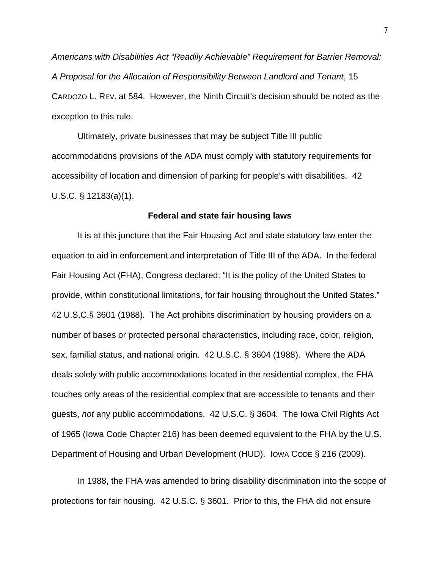*Americans with Disabilities Act "Readily Achievable" Requirement for Barrier Removal: A Proposal for the Allocation of Responsibility Between Landlord and Tenant*, 15 CARDOZO L. REV. at 584. However, the Ninth Circuit's decision should be noted as the exception to this rule.

Ultimately, private businesses that may be subject Title III public accommodations provisions of the ADA must comply with statutory requirements for accessibility of location and dimension of parking for people's with disabilities. 42 U.S.C. § 12183(a)(1).

## **Federal and state fair housing laws**

It is at this juncture that the Fair Housing Act and state statutory law enter the equation to aid in enforcement and interpretation of Title III of the ADA. In the federal Fair Housing Act (FHA), Congress declared: "It is the policy of the United States to provide, within constitutional limitations, for fair housing throughout the United States." 42 U.S.C.§ 3601 (1988)*.* The Act prohibits discrimination by housing providers on a number of bases or protected personal characteristics, including race, color, religion, sex, familial status, and national origin. 42 U.S.C. § 3604 (1988). Where the ADA deals solely with public accommodations located in the residential complex, the FHA touches only areas of the residential complex that are accessible to tenants and their guests, *not* any public accommodations.42 U.S.C. § 3604*.* The Iowa Civil Rights Act of 1965 (Iowa Code Chapter 216) has been deemed equivalent to the FHA by the U.S. Department of Housing and Urban Development (HUD). IOWA CODE § 216 (2009).

In 1988, the FHA was amended to bring disability discrimination into the scope of protections for fair housing. 42 U.S.C. § 3601. Prior to this, the FHA did not ensure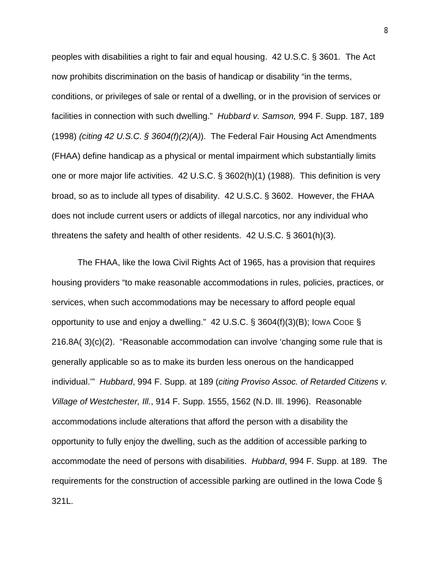peoples with disabilities a right to fair and equal housing. 42 U.S.C. § 3601*.* The Act now prohibits discrimination on the basis of handicap or disability "in the terms, conditions, or privileges of sale or rental of a dwelling, or in the provision of services or facilities in connection with such dwelling." *Hubbard v. Samson,* 994 F. Supp. 187, 189 (1998) *(citing 42 U.S.C. § 3604(f)(2)(A)*). The Federal Fair Housing Act Amendments (FHAA) define handicap as a physical or mental impairment which substantially limits one or more major life activities. 42 U.S.C. § 3602(h)(1) (1988). This definition is very broad, so as to include all types of disability. 42 U.S.C. § 3602. However, the FHAA does not include current users or addicts of illegal narcotics, nor any individual who threatens the safety and health of other residents. 42 U.S.C. § 3601(h)(3).

The FHAA, like the Iowa Civil Rights Act of 1965, has a provision that requires housing providers "to make reasonable accommodations in rules, policies, practices, or services, when such accommodations may be necessary to afford people equal opportunity to use and enjoy a dwelling." 42 U.S.C. § 3604(f)(3)(B); IOWA CODE § 216.8A( 3)(c)(2). "Reasonable accommodation can involve 'changing some rule that is generally applicable so as to make its burden less onerous on the handicapped individual.'" *Hubbard*, 994 F. Supp. at 189 (*citing Proviso Assoc. of Retarded Citizens v. Village of Westchester, Ill.*, 914 F. Supp. 1555, 1562 (N.D. Ill. 1996). Reasonable accommodations include alterations that afford the person with a disability the opportunity to fully enjoy the dwelling, such as the addition of accessible parking to accommodate the need of persons with disabilities. *Hubbard*, 994 F. Supp. at 189*.* The requirements for the construction of accessible parking are outlined in the Iowa Code § 321L.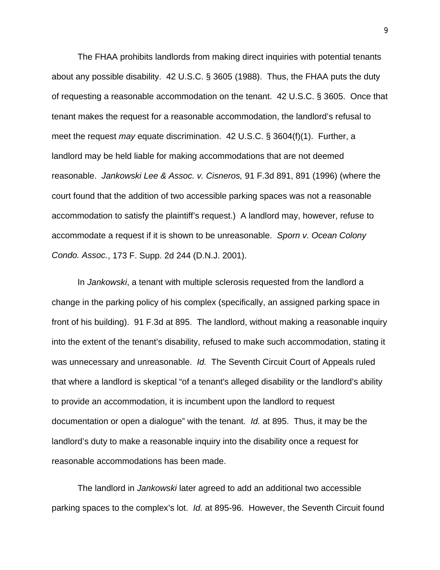The FHAA prohibits landlords from making direct inquiries with potential tenants about any possible disability. 42 U.S.C. § 3605 (1988). Thus, the FHAA puts the duty of requesting a reasonable accommodation on the tenant. 42 U.S.C. § 3605. Once that tenant makes the request for a reasonable accommodation, the landlord's refusal to meet the request *may* equate discrimination. 42 U.S.C. § 3604(f)(1). Further, a landlord may be held liable for making accommodations that are not deemed reasonable. *Jankowski Lee & Assoc. v. Cisneros,* 91 F.3d 891, 891 (1996) (where the court found that the addition of two accessible parking spaces was not a reasonable accommodation to satisfy the plaintiff's request.) A landlord may, however, refuse to accommodate a request if it is shown to be unreasonable. *Sporn v. Ocean Colony Condo. Assoc.*, 173 F. Supp. 2d 244 (D.N.J. 2001).

In *Jankowski*, a tenant with multiple sclerosis requested from the landlord a change in the parking policy of his complex (specifically, an assigned parking space in front of his building). 91 F.3d at 895. The landlord, without making a reasonable inquiry into the extent of the tenant's disability, refused to make such accommodation, stating it was unnecessary and unreasonable. *Id.* The Seventh Circuit Court of Appeals ruled that where a landlord is skeptical "of a tenant's alleged disability or the landlord's ability to provide an accommodation, it is incumbent upon the landlord to request documentation or open a dialogue" with the tenant. *Id.* at 895. Thus, it may be the landlord's duty to make a reasonable inquiry into the disability once a request for reasonable accommodations has been made.

The landlord in *Jankowski* later agreed to add an additional two accessible parking spaces to the complex's lot. *Id.* at 895-96. However, the Seventh Circuit found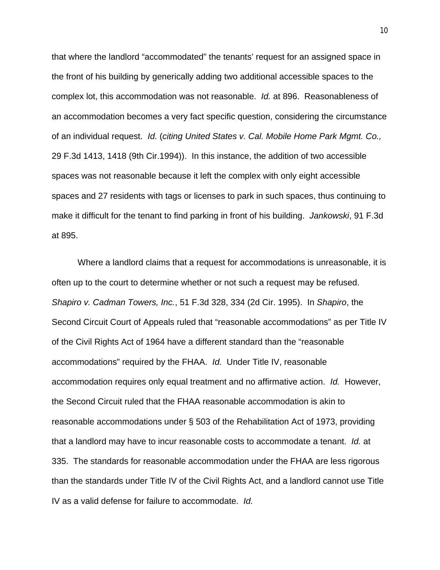that where the landlord "accommodated" the tenants' request for an assigned space in the front of his building by generically adding two additional accessible spaces to the complex lot, this accommodation was not reasonable. *Id.* at 896. Reasonableness of an accommodation becomes a very fact specific question, considering the circumstance of an individual request. *Id.* (*citing United States v. Cal. Mobile Home Park Mgmt. Co.,* 29 F.3d 1413, 1418 (9th Cir.1994)). In this instance, the addition of two accessible spaces was not reasonable because it left the complex with only eight accessible spaces and 27 residents with tags or licenses to park in such spaces, thus continuing to make it difficult for the tenant to find parking in front of his building. *Jankowski*, 91 F.3d at 895.

Where a landlord claims that a request for accommodations is unreasonable, it is often up to the court to determine whether or not such a request may be refused. *Shapiro v. Cadman Towers, Inc.*, 51 F.3d 328, 334 (2d Cir. 1995). In *Shapiro*, the Second Circuit Court of Appeals ruled that "reasonable accommodations" as per Title IV of the Civil Rights Act of 1964 have a different standard than the "reasonable accommodations" required by the FHAA. *Id.* Under Title IV, reasonable accommodation requires only equal treatment and no affirmative action. *Id.* However, the Second Circuit ruled that the FHAA reasonable accommodation is akin to reasonable accommodations under § 503 of the Rehabilitation Act of 1973, providing that a landlord may have to incur reasonable costs to accommodate a tenant. *Id.* at 335. The standards for reasonable accommodation under the FHAA are less rigorous than the standards under Title IV of the Civil Rights Act, and a landlord cannot use Title IV as a valid defense for failure to accommodate. *Id.*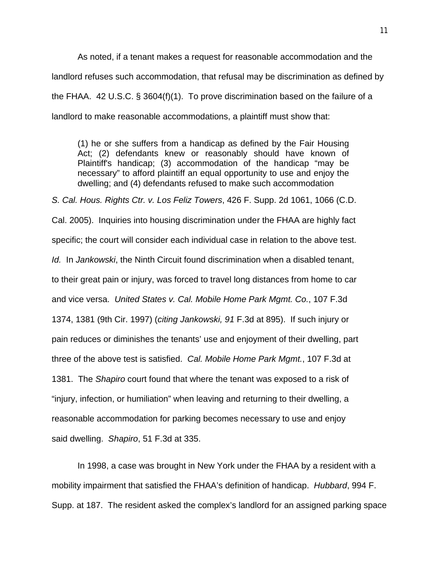As noted, if a tenant makes a request for reasonable accommodation and the landlord refuses such accommodation, that refusal may be discrimination as defined by the FHAA. 42 U.S.C. § 3604(f)(1). To prove discrimination based on the failure of a landlord to make reasonable accommodations, a plaintiff must show that:

(1) he or she suffers from a handicap as defined by the Fair Housing Act; (2) defendants knew or reasonably should have known of Plaintiff's handicap; (3) accommodation of the handicap "may be necessary" to afford plaintiff an equal opportunity to use and enjoy the dwelling; and (4) defendants refused to make such accommodation

*S. Cal. Hous. Rights Ctr. v. Los Feliz Towers*, 426 F. Supp. 2d 1061, 1066 (C.D. Cal. 2005). Inquiries into housing discrimination under the FHAA are highly fact specific; the court will consider each individual case in relation to the above test. *Id.* In *Jankowski*, the Ninth Circuit found discrimination when a disabled tenant, to their great pain or injury, was forced to travel long distances from home to car and vice versa. *United States v. Cal. Mobile Home Park Mgmt. Co.*, 107 F.3d 1374, 1381 (9th Cir. 1997) (*citing Jankowski, 91* F.3d at 895). If such injury or pain reduces or diminishes the tenants' use and enjoyment of their dwelling, part three of the above test is satisfied. *Cal. Mobile Home Park Mgmt.*, 107 F.3d at 1381. The *Shapiro* court found that where the tenant was exposed to a risk of "injury, infection, or humiliation" when leaving and returning to their dwelling, a reasonable accommodation for parking becomes necessary to use and enjoy said dwelling. *Shapiro*, 51 F.3d at 335.

In 1998, a case was brought in New York under the FHAA by a resident with a mobility impairment that satisfied the FHAA's definition of handicap. *Hubbard*, 994 F. Supp. at 187. The resident asked the complex's landlord for an assigned parking space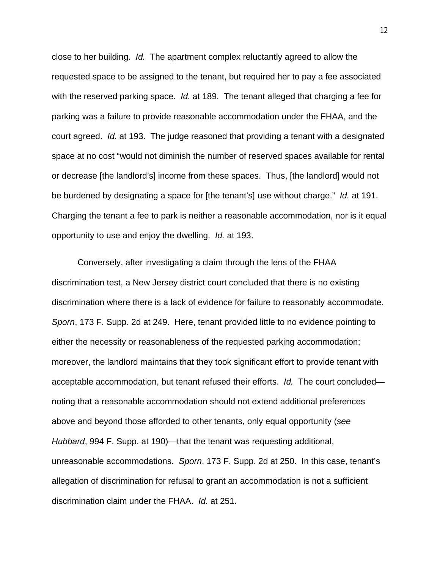close to her building. *Id.* The apartment complex reluctantly agreed to allow the requested space to be assigned to the tenant, but required her to pay a fee associated with the reserved parking space. *Id.* at 189. The tenant alleged that charging a fee for parking was a failure to provide reasonable accommodation under the FHAA, and the court agreed. *Id.* at 193. The judge reasoned that providing a tenant with a designated space at no cost "would not diminish the number of reserved spaces available for rental or decrease [the landlord's] income from these spaces. Thus, [the landlord] would not be burdened by designating a space for [the tenant's] use without charge." *Id.* at 191. Charging the tenant a fee to park is neither a reasonable accommodation, nor is it equal opportunity to use and enjoy the dwelling. *Id.* at 193.

Conversely, after investigating a claim through the lens of the FHAA discrimination test, a New Jersey district court concluded that there is no existing discrimination where there is a lack of evidence for failure to reasonably accommodate. *Sporn*, 173 F. Supp. 2d at 249. Here, tenant provided little to no evidence pointing to either the necessity or reasonableness of the requested parking accommodation; moreover, the landlord maintains that they took significant effort to provide tenant with acceptable accommodation, but tenant refused their efforts. *Id.* The court concluded noting that a reasonable accommodation should not extend additional preferences above and beyond those afforded to other tenants, only equal opportunity (*see Hubbard*, 994 F. Supp. at 190)—that the tenant was requesting additional, unreasonable accommodations. *Sporn*, 173 F. Supp. 2d at 250. In this case, tenant's allegation of discrimination for refusal to grant an accommodation is not a sufficient discrimination claim under the FHAA. *Id.* at 251.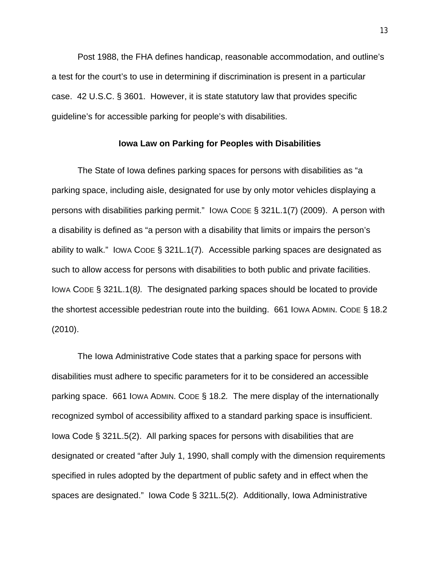Post 1988, the FHA defines handicap, reasonable accommodation, and outline's a test for the court's to use in determining if discrimination is present in a particular case. 42 U.S.C. § 3601. However, it is state statutory law that provides specific guideline's for accessible parking for people's with disabilities.

## **Iowa Law on Parking for Peoples with Disabilities**

The State of Iowa defines parking spaces for persons with disabilities as "a parking space, including aisle, designated for use by only motor vehicles displaying a persons with disabilities parking permit." IOWA CODE § 321L.1(7) (2009). A person with a disability is defined as "a person with a disability that limits or impairs the person's ability to walk." IOWA CODE § 321L.1(7)*.* Accessible parking spaces are designated as such to allow access for persons with disabilities to both public and private facilities. IOWA CODE § 321L.1(8*).* The designated parking spaces should be located to provide the shortest accessible pedestrian route into the building. 661 IOWA ADMIN. CODE § 18.2 (2010).

The Iowa Administrative Code states that a parking space for persons with disabilities must adhere to specific parameters for it to be considered an accessible parking space. 661 IOWA ADMIN. CODE § 18.2*.* The mere display of the internationally recognized symbol of accessibility affixed to a standard parking space is insufficient. Iowa Code § 321L.5(2). All parking spaces for persons with disabilities that are designated or created "after July 1, 1990, shall comply with the dimension requirements specified in rules adopted by the department of public safety and in effect when the spaces are designated." Iowa Code § 321L.5(2). Additionally, Iowa Administrative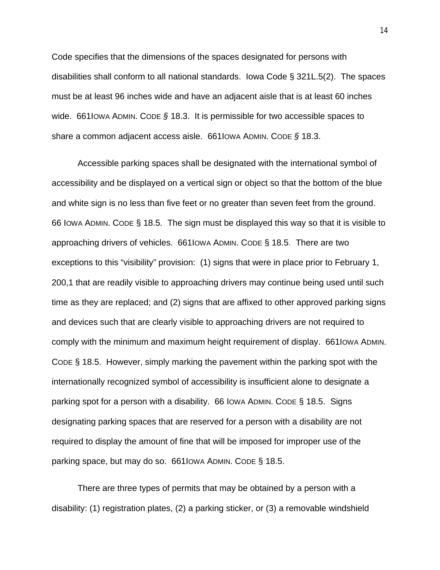Code specifies that the dimensions of the spaces designated for persons with disabilities shall conform to all national standards. Iowa Code § 321L.5(2). The spaces must be at least 96 inches wide and have an adjacent aisle that is at least 60 inches wide. 661IOWA ADMIN. CODE *§* 18.3. It is permissible for two accessible spaces to share a common adjacent access aisle. 661IOWA ADMIN. CODE *§* 18.3.

Accessible parking spaces shall be designated with the international symbol of accessibility and be displayed on a vertical sign or object so that the bottom of the blue and white sign is no less than five feet or no greater than seven feet from the ground. 66 IOWA ADMIN. CODE § 18.5*.* The sign must be displayed this way so that it is visible to approaching drivers of vehicles. 661IOWA ADMIN. CODE § 18.5. There are two exceptions to this "visibility" provision: (1) signs that were in place prior to February 1, 200,1 that are readily visible to approaching drivers may continue being used until such time as they are replaced; and (2) signs that are affixed to other approved parking signs and devices such that are clearly visible to approaching drivers are not required to comply with the minimum and maximum height requirement of display. 661IOWA ADMIN. CODE § 18.5. However, simply marking the pavement within the parking spot with the internationally recognized symbol of accessibility is insufficient alone to designate a parking spot for a person with a disability. 66 IOWA ADMIN. CODE § 18.5. Signs designating parking spaces that are reserved for a person with a disability are not required to display the amount of fine that will be imposed for improper use of the parking space, but may do so. 661IOWA ADMIN. CODE § 18.5.

There are three types of permits that may be obtained by a person with a disability: (1) registration plates, (2) a parking sticker, or (3) a removable windshield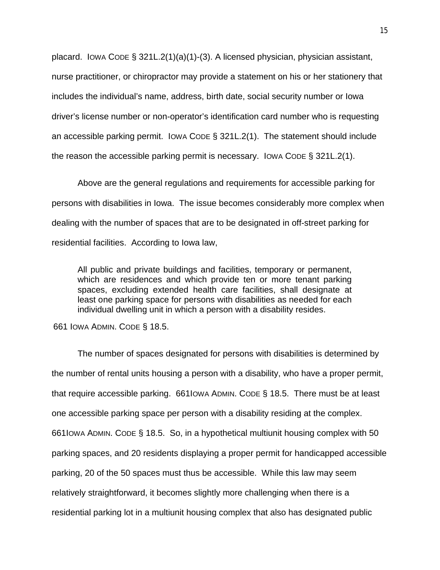placard. IOWA CODE § 321L.2(1)(a)(1)-(3). A licensed physician, physician assistant, nurse practitioner, or chiropractor may provide a statement on his or her stationery that includes the individual's name, address, birth date, social security number or Iowa driver's license number or non-operator's identification card number who is requesting an accessible parking permit. IOWA CODE § 321L.2(1).The statement should include the reason the accessible parking permit is necessary. IOWA CODE § 321L.2(1).

Above are the general regulations and requirements for accessible parking for persons with disabilities in Iowa. The issue becomes considerably more complex when dealing with the number of spaces that are to be designated in off-street parking for residential facilities. According to Iowa law,

All public and private buildings and facilities, temporary or permanent, which are residences and which provide ten or more tenant parking spaces, excluding extended health care facilities, shall designate at least one parking space for persons with disabilities as needed for each individual dwelling unit in which a person with a disability resides.

661 IOWA ADMIN. CODE § 18.5.

The number of spaces designated for persons with disabilities is determined by the number of rental units housing a person with a disability, who have a proper permit, that require accessible parking. 661IOWA ADMIN. CODE § 18.5. There must be at least one accessible parking space per person with a disability residing at the complex. 661IOWA ADMIN. CODE § 18.5. So, in a hypothetical multiunit housing complex with 50 parking spaces, and 20 residents displaying a proper permit for handicapped accessible parking, 20 of the 50 spaces must thus be accessible. While this law may seem relatively straightforward, it becomes slightly more challenging when there is a residential parking lot in a multiunit housing complex that also has designated public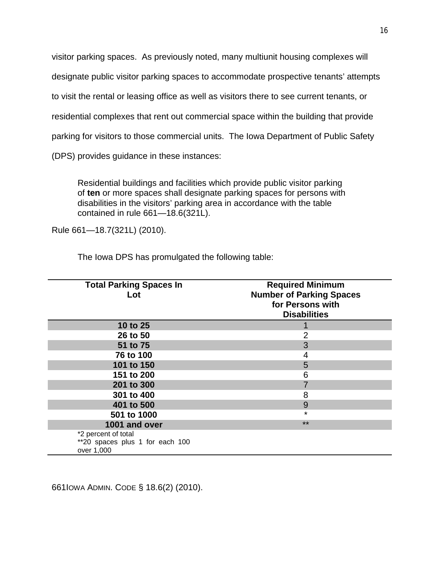visitor parking spaces. As previously noted, many multiunit housing complexes will designate public visitor parking spaces to accommodate prospective tenants' attempts to visit the rental or leasing office as well as visitors there to see current tenants, or residential complexes that rent out commercial space within the building that provide parking for visitors to those commercial units. The Iowa Department of Public Safety (DPS) provides guidance in these instances:

Residential buildings and facilities which provide public visitor parking of **ten** or more spaces shall designate parking spaces for persons with disabilities in the visitors' parking area in accordance with the table contained in rule 661—18.6(321L).

Rule 661—18.7(321L) (2010).

The Iowa DPS has promulgated the following table:

| <b>Total Parking Spaces In</b><br>Lot                                | <b>Required Minimum</b><br><b>Number of Parking Spaces</b><br>for Persons with<br><b>Disabilities</b> |
|----------------------------------------------------------------------|-------------------------------------------------------------------------------------------------------|
| 10 to 25                                                             |                                                                                                       |
| 26 to 50                                                             | 2                                                                                                     |
| 51 to 75                                                             | 3                                                                                                     |
| 76 to 100                                                            | 4                                                                                                     |
| 101 to 150                                                           | 5                                                                                                     |
| 151 to 200                                                           | 6                                                                                                     |
| 201 to 300                                                           |                                                                                                       |
| 301 to 400                                                           | 8                                                                                                     |
| 401 to 500                                                           | 9                                                                                                     |
| 501 to 1000                                                          | $\star$                                                                                               |
| 1001 and over                                                        | **                                                                                                    |
| *2 percent of total<br>**20 spaces plus 1 for each 100<br>over 1,000 |                                                                                                       |

661IOWA ADMIN. CODE § 18.6(2) (2010).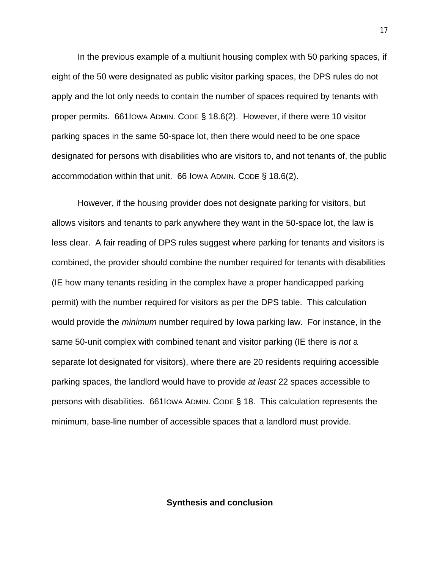In the previous example of a multiunit housing complex with 50 parking spaces, if eight of the 50 were designated as public visitor parking spaces, the DPS rules do not apply and the lot only needs to contain the number of spaces required by tenants with proper permits. 661IOWA ADMIN. CODE § 18.6(2). However, if there were 10 visitor parking spaces in the same 50-space lot, then there would need to be one space designated for persons with disabilities who are visitors to, and not tenants of, the public accommodation within that unit. 66 IOWA ADMIN. CODE § 18.6(2).

However, if the housing provider does not designate parking for visitors, but allows visitors and tenants to park anywhere they want in the 50-space lot, the law is less clear. A fair reading of DPS rules suggest where parking for tenants and visitors is combined, the provider should combine the number required for tenants with disabilities (IE how many tenants residing in the complex have a proper handicapped parking permit) with the number required for visitors as per the DPS table. This calculation would provide the *minimum* number required by Iowa parking law. For instance, in the same 50-unit complex with combined tenant and visitor parking (IE there is *not* a separate lot designated for visitors), where there are 20 residents requiring accessible parking spaces, the landlord would have to provide *at least* 22 spaces accessible to persons with disabilities. 661IOWA ADMIN. CODE § 18. This calculation represents the minimum, base-line number of accessible spaces that a landlord must provide.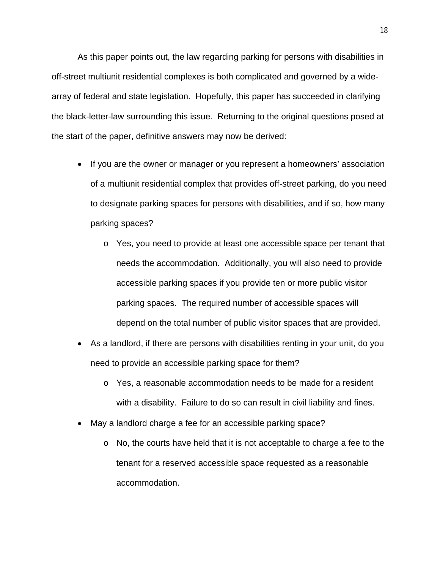As this paper points out, the law regarding parking for persons with disabilities in off-street multiunit residential complexes is both complicated and governed by a widearray of federal and state legislation. Hopefully, this paper has succeeded in clarifying the black-letter-law surrounding this issue. Returning to the original questions posed at the start of the paper, definitive answers may now be derived:

- If you are the owner or manager or you represent a homeowners' association of a multiunit residential complex that provides off-street parking, do you need to designate parking spaces for persons with disabilities, and if so, how many parking spaces?
	- o Yes, you need to provide at least one accessible space per tenant that needs the accommodation. Additionally, you will also need to provide accessible parking spaces if you provide ten or more public visitor parking spaces. The required number of accessible spaces will depend on the total number of public visitor spaces that are provided.
- As a landlord, if there are persons with disabilities renting in your unit, do you need to provide an accessible parking space for them?
	- o Yes, a reasonable accommodation needs to be made for a resident with a disability. Failure to do so can result in civil liability and fines.
- May a landlord charge a fee for an accessible parking space?
	- o No, the courts have held that it is not acceptable to charge a fee to the tenant for a reserved accessible space requested as a reasonable accommodation.